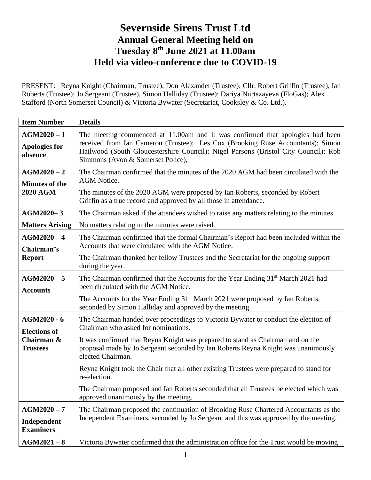## **Severnside Sirens Trust Ltd Annual General Meeting held on Tuesday 8 th June 2021 at 11.00am Held via video-conference due to COVID-19**

PRESENT: Reyna Knight (Chairman, Trustee), Don Alexander (Trustee); Cllr. Robert Griffin (Trustee), Ian Roberts (Trustee); Jo Sergeant (Trustee), Simon Halliday (Trustee); Dariya Nurtazayeva (FloGas); Alex Stafford (North Somerset Council) & Victoria Bywater (Secretariat, Cooksley & Co. Ltd.).

| $AGM2020 - 1$<br>The meeting commenced at 11.00am and it was confirmed that apologies had been<br>received from Ian Cameron (Trustee); Les Cox (Brooking Ruse Accountants); Simon<br><b>Apologies for</b><br>Hailwood (South Gloucestershire Council); Nigel Parsons (Bristol City Council); Rob<br>absence<br>Simmons (Avon & Somerset Police),<br>$AGM2020 - 2$                                                                                                                                                                                                                                                                          |  |
|--------------------------------------------------------------------------------------------------------------------------------------------------------------------------------------------------------------------------------------------------------------------------------------------------------------------------------------------------------------------------------------------------------------------------------------------------------------------------------------------------------------------------------------------------------------------------------------------------------------------------------------------|--|
|                                                                                                                                                                                                                                                                                                                                                                                                                                                                                                                                                                                                                                            |  |
| The Chairman confirmed that the minutes of the 2020 AGM had been circulated with the<br><b>AGM</b> Notice.<br><b>Minutes of the</b><br><b>2020 AGM</b><br>The minutes of the 2020 AGM were proposed by Ian Roberts, seconded by Robert<br>Griffin as a true record and approved by all those in attendance.                                                                                                                                                                                                                                                                                                                                |  |
| AGM2020-3<br>The Chairman asked if the attendees wished to raise any matters relating to the minutes.<br><b>Matters Arising</b><br>No matters relating to the minutes were raised.                                                                                                                                                                                                                                                                                                                                                                                                                                                         |  |
| $AGM2020 - 4$<br>The Chairman confirmed that the formal Chairman's Report had been included within the<br>Accounts that were circulated with the AGM Notice.<br>Chairman's<br><b>Report</b><br>The Chairman thanked her fellow Trustees and the Secretariat for the ongoing support<br>during the year.                                                                                                                                                                                                                                                                                                                                    |  |
| $AGM2020 - 5$<br>The Chairman confirmed that the Accounts for the Year Ending 31 <sup>st</sup> March 2021 had<br>been circulated with the AGM Notice.<br><b>Accounts</b><br>The Accounts for the Year Ending 31 <sup>st</sup> March 2021 were proposed by Ian Roberts,<br>seconded by Simon Halliday and approved by the meeting.                                                                                                                                                                                                                                                                                                          |  |
| AGM2020 - 6<br>The Chairman handed over proceedings to Victoria Bywater to conduct the election of<br>Chairman who asked for nominations.<br><b>Elections of</b><br>Chairman &<br>It was confirmed that Reyna Knight was prepared to stand as Chairman and on the<br>proposal made by Jo Sergeant seconded by Ian Roberts Reyna Knight was unanimously<br><b>Trustees</b><br>elected Chairman.<br>Reyna Knight took the Chair that all other existing Trustees were prepared to stand for<br>re-election.<br>The Chairman proposed and Ian Roberts seconded that all Trustees be elected which was<br>approved unanimously by the meeting. |  |
| $AGM2020 - 7$<br>The Chairman proposed the continuation of Brooking Ruse Chartered Accountants as the<br>Independent Examiners, seconded by Jo Sergeant and this was approved by the meeting.<br>Independent<br><b>Examiners</b><br>Victoria Bywater confirmed that the administration office for the Trust would be moving<br>$AGM2021-8$                                                                                                                                                                                                                                                                                                 |  |